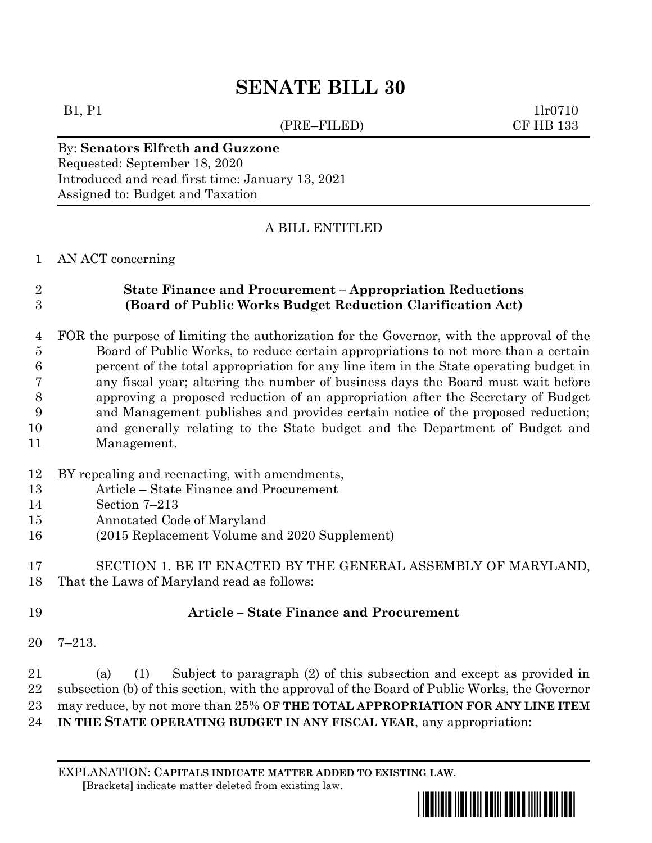# **SENATE BILL 30**

(PRE–FILED) CF HB 133

 $B1, P1$  1lr0710

### By: **Senators Elfreth and Guzzone** Requested: September 18, 2020 Introduced and read first time: January 13, 2021 Assigned to: Budget and Taxation

## A BILL ENTITLED

#### AN ACT concerning

# **State Finance and Procurement – Appropriation Reductions (Board of Public Works Budget Reduction Clarification Act)**

- FOR the purpose of limiting the authorization for the Governor, with the approval of the Board of Public Works, to reduce certain appropriations to not more than a certain percent of the total appropriation for any line item in the State operating budget in any fiscal year; altering the number of business days the Board must wait before approving a proposed reduction of an appropriation after the Secretary of Budget and Management publishes and provides certain notice of the proposed reduction; and generally relating to the State budget and the Department of Budget and Management.
- BY repealing and reenacting, with amendments,
- Article State Finance and Procurement
- Section 7–213
- Annotated Code of Maryland
- (2015 Replacement Volume and 2020 Supplement)

 SECTION 1. BE IT ENACTED BY THE GENERAL ASSEMBLY OF MARYLAND, That the Laws of Maryland read as follows:

# **Article – State Finance and Procurement**

7–213.

 (a) (1) Subject to paragraph (2) of this subsection and except as provided in subsection (b) of this section, with the approval of the Board of Public Works, the Governor may reduce, by not more than 25% **OF THE TOTAL APPROPRIATION FOR ANY LINE ITEM IN THE STATE OPERATING BUDGET IN ANY FISCAL YEAR**, any appropriation:

EXPLANATION: **CAPITALS INDICATE MATTER ADDED TO EXISTING LAW**.  **[**Brackets**]** indicate matter deleted from existing law.

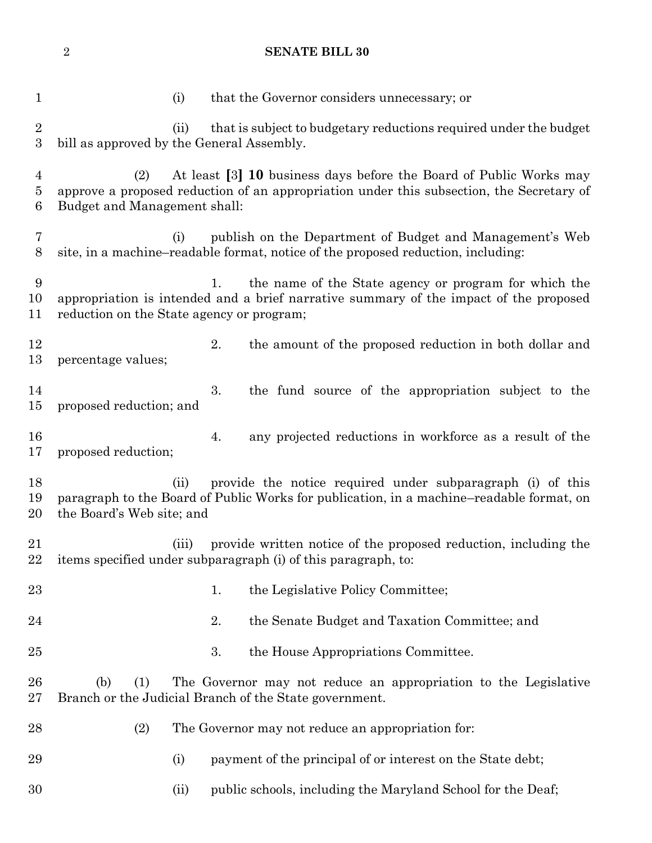**SENATE BILL 30**

| $\mathbf{1}$                          | (i)                                                                                                                                                                                                   |    | that the Governor considers unnecessary; or                                                                                                  |
|---------------------------------------|-------------------------------------------------------------------------------------------------------------------------------------------------------------------------------------------------------|----|----------------------------------------------------------------------------------------------------------------------------------------------|
| $\sqrt{2}$<br>$\boldsymbol{3}$        | (ii)<br>bill as approved by the General Assembly.                                                                                                                                                     |    | that is subject to budgetary reductions required under the budget                                                                            |
| $\overline{4}$<br>$\overline{5}$<br>6 | At least [3] 10 business days before the Board of Public Works may<br>(2)<br>approve a proposed reduction of an appropriation under this subsection, the Secretary of<br>Budget and Management shall: |    |                                                                                                                                              |
| 7<br>8                                | (i)                                                                                                                                                                                                   |    | publish on the Department of Budget and Management's Web<br>site, in a machine-readable format, notice of the proposed reduction, including: |
| 9<br>10<br>11                         | the name of the State agency or program for which the<br>1.<br>appropriation is intended and a brief narrative summary of the impact of the proposed<br>reduction on the State agency or program;     |    |                                                                                                                                              |
| 12<br>13                              | percentage values;                                                                                                                                                                                    | 2. | the amount of the proposed reduction in both dollar and                                                                                      |
| 14<br>15                              | proposed reduction; and                                                                                                                                                                               | 3. | the fund source of the appropriation subject to the                                                                                          |
| 16<br>17                              | proposed reduction;                                                                                                                                                                                   | 4. | any projected reductions in workforce as a result of the                                                                                     |
| 18<br>19<br>20                        | provide the notice required under subparagraph (i) of this<br>(ii)<br>paragraph to the Board of Public Works for publication, in a machine-readable format, on<br>the Board's Web site; and           |    |                                                                                                                                              |
| 21                                    | provide written notice of the proposed reduction, including the<br>(iii)<br>22 items specified under subparagraph (i) of this paragraph, to:                                                          |    |                                                                                                                                              |
| 23                                    |                                                                                                                                                                                                       | 1. | the Legislative Policy Committee;                                                                                                            |
| 24                                    |                                                                                                                                                                                                       | 2. | the Senate Budget and Taxation Committee; and                                                                                                |
| $25\,$                                |                                                                                                                                                                                                       | 3. | the House Appropriations Committee.                                                                                                          |
| 26<br>27                              | (b)<br>(1)<br>The Governor may not reduce an appropriation to the Legislative<br>Branch or the Judicial Branch of the State government.                                                               |    |                                                                                                                                              |
| 28                                    | (2)                                                                                                                                                                                                   |    | The Governor may not reduce an appropriation for:                                                                                            |
| 29                                    | (i)                                                                                                                                                                                                   |    | payment of the principal of or interest on the State debt;                                                                                   |
| 30                                    | (ii)                                                                                                                                                                                                  |    | public schools, including the Maryland School for the Deaf;                                                                                  |